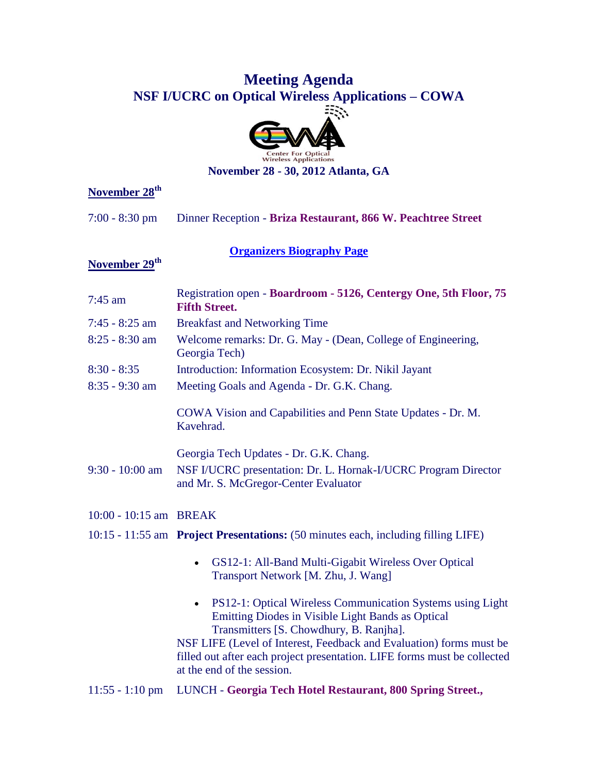# **Meeting Agenda NSF I/UCRC on Optical Wireless Applications – COWA**



**November 28 - 30, 2012 Atlanta, GA**

## **November 28th**

7:00 - 8:30 pm Dinner Reception - **Briza Restaurant, 866 W. Peachtree Street**

### **[Organizers Biography Page](http://cowa.psu.edu/Documents/Meeting_Agendas/NOV-2012_BIOGRAPHIES_PACKAGE_PSU.pdf)**

### **November 29th**

| $7:45$ am              | Registration open - Boardroom - 5126, Centergy One, 5th Floor, 75<br><b>Fifth Street.</b>                                                                                     |
|------------------------|-------------------------------------------------------------------------------------------------------------------------------------------------------------------------------|
| $7:45 - 8:25$ am       | <b>Breakfast and Networking Time</b>                                                                                                                                          |
| $8:25 - 8:30$ am       | Welcome remarks: Dr. G. May - (Dean, College of Engineering,<br>Georgia Tech)                                                                                                 |
| $8:30 - 8:35$          | Introduction: Information Ecosystem: Dr. Nikil Jayant                                                                                                                         |
| 8:35 - 9:30 am         | Meeting Goals and Agenda - Dr. G.K. Chang.                                                                                                                                    |
|                        | COWA Vision and Capabilities and Penn State Updates - Dr. M.<br>Kavehrad.                                                                                                     |
|                        | Georgia Tech Updates - Dr. G.K. Chang.                                                                                                                                        |
| $9:30 - 10:00$ am      | NSF I/UCRC presentation: Dr. L. Hornak-I/UCRC Program Director<br>and Mr. S. McGregor-Center Evaluator                                                                        |
| 10:00 - 10:15 am BREAK |                                                                                                                                                                               |
|                        | 10:15 - 11:55 am Project Presentations: (50 minutes each, including filling LIFE)                                                                                             |
|                        | GS12-1: All-Band Multi-Gigabit Wireless Over Optical<br>Transport Network [M. Zhu, J. Wang]                                                                                   |
|                        | PS12-1: Optical Wireless Communication Systems using Light<br>Emitting Diodes in Visible Light Bands as Optical<br>Transmitters [S. Chowdhury, B. Ranjha].                    |
|                        | NSF LIFE (Level of Interest, Feedback and Evaluation) forms must be<br>filled out after each project presentation. LIFE forms must be collected<br>at the end of the session. |
| $11:55 - 1:10$ pm      | LUNCH - Georgia Tech Hotel Restaurant, 800 Spring Street.,                                                                                                                    |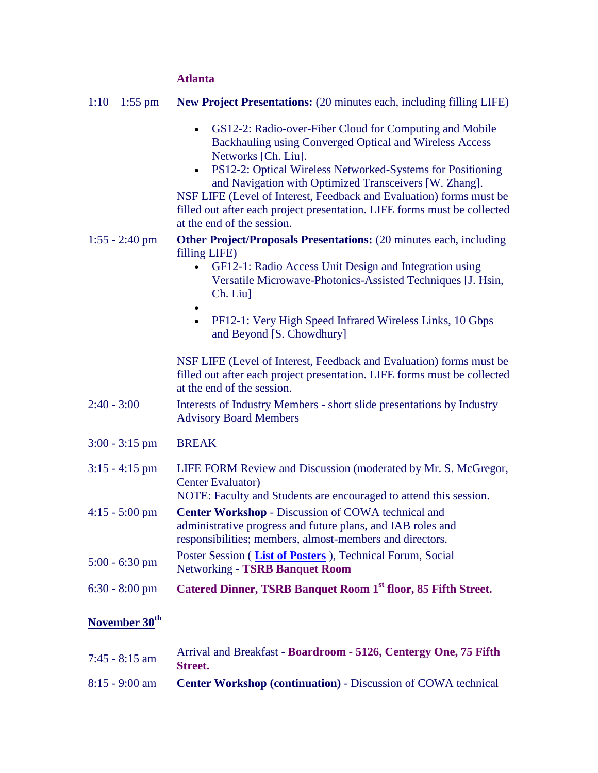#### **Atlanta**

| $1:10 - 1:55$ pm          | New Project Presentations: (20 minutes each, including filling LIFE)                                                                                                                                                                                                                                                                                                                                                                                                         |
|---------------------------|------------------------------------------------------------------------------------------------------------------------------------------------------------------------------------------------------------------------------------------------------------------------------------------------------------------------------------------------------------------------------------------------------------------------------------------------------------------------------|
|                           | GS12-2: Radio-over-Fiber Cloud for Computing and Mobile<br>$\bullet$<br>Backhauling using Converged Optical and Wireless Access<br>Networks [Ch. Liu].<br>PS12-2: Optical Wireless Networked-Systems for Positioning<br>$\bullet$<br>and Navigation with Optimized Transceivers [W. Zhang].<br>NSF LIFE (Level of Interest, Feedback and Evaluation) forms must be<br>filled out after each project presentation. LIFE forms must be collected<br>at the end of the session. |
| $1:55 - 2:40$ pm          | <b>Other Project/Proposals Presentations:</b> (20 minutes each, including<br>filling LIFE)<br>GF12-1: Radio Access Unit Design and Integration using<br>$\bullet$<br>Versatile Microwave-Photonics-Assisted Techniques [J. Hsin,<br>Ch. Liu]<br>$\bullet$<br>PF12-1: Very High Speed Infrared Wireless Links, 10 Gbps<br>$\bullet$<br>and Beyond [S. Chowdhury]                                                                                                              |
|                           | NSF LIFE (Level of Interest, Feedback and Evaluation) forms must be<br>filled out after each project presentation. LIFE forms must be collected<br>at the end of the session.                                                                                                                                                                                                                                                                                                |
| $2:40 - 3:00$             | Interests of Industry Members - short slide presentations by Industry<br><b>Advisory Board Members</b>                                                                                                                                                                                                                                                                                                                                                                       |
| $3:00 - 3:15$ pm          | <b>BREAK</b>                                                                                                                                                                                                                                                                                                                                                                                                                                                                 |
| $3:15 - 4:15$ pm          | LIFE FORM Review and Discussion (moderated by Mr. S. McGregor,<br><b>Center Evaluator</b> )<br>NOTE: Faculty and Students are encouraged to attend this session.                                                                                                                                                                                                                                                                                                             |
| $4:15 - 5:00$ pm          | <b>Center Workshop - Discussion of COWA technical and</b><br>administrative progress and future plans, and IAB roles and<br>responsibilities; members, almost-members and directors.                                                                                                                                                                                                                                                                                         |
| $5:00 - 6:30$ pm          | Poster Session (List of Posters), Technical Forum, Social<br><b>Networking - TSRB Banquet Room</b>                                                                                                                                                                                                                                                                                                                                                                           |
| $6:30 - 8:00$ pm          | Catered Dinner, TSRB Banquet Room 1st floor, 85 Fifth Street.                                                                                                                                                                                                                                                                                                                                                                                                                |
| November 30 <sup>th</sup> |                                                                                                                                                                                                                                                                                                                                                                                                                                                                              |

| $7:45 - 8:15$ am | Arrival and Breakfast - Boardroom - 5126, Centergy One, 75 Fifth<br>Street. |
|------------------|-----------------------------------------------------------------------------|
| $8:15 - 9:00$ am | <b>Center Workshop (continuation)</b> - Discussion of COWA technical        |